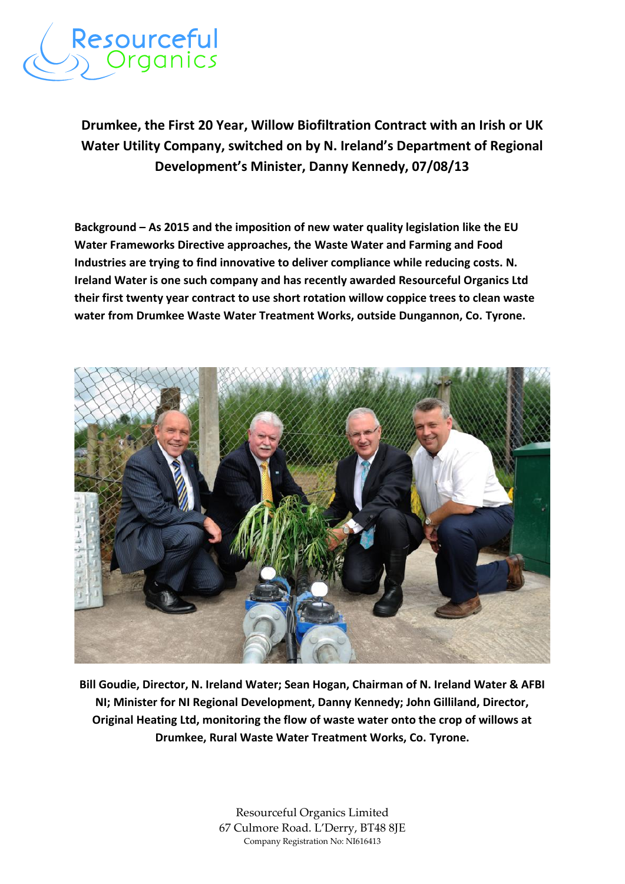

## **Drumkee, the First 20 Year, Willow Biofiltration Contract with an Irish or UK Water Utility Company, switched on by N. Ireland's Department of Regional Development's Minister, Danny Kennedy, 07/08/13**

**Background – As 2015 and the imposition of new water quality legislation like the EU Water Frameworks Directive approaches, the Waste Water and Farming and Food Industries are trying to find innovative to deliver compliance while reducing costs. N. Ireland Water is one such company and has recently awarded Resourceful Organics Ltd their first twenty year contract to use short rotation willow coppice trees to clean waste water from Drumkee Waste Water Treatment Works, outside Dungannon, Co. Tyrone.**



**Bill Goudie, Director, N. Ireland Water; Sean Hogan, Chairman of N. Ireland Water & AFBI NI; Minister for NI Regional Development, Danny Kennedy; John Gilliland, Director, Original Heating Ltd, monitoring the flow of waste water onto the crop of willows at Drumkee, Rural Waste Water Treatment Works, Co. Tyrone.**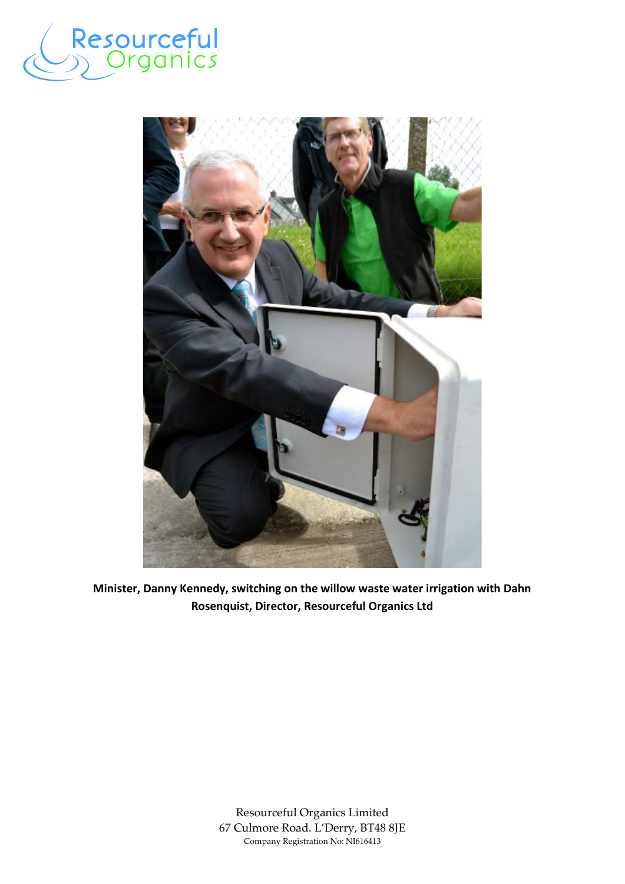



**Minister, Danny Kennedy, switching on the willow waste water irrigation with Dahn Rosenquist, Director, Resourceful Organics Ltd**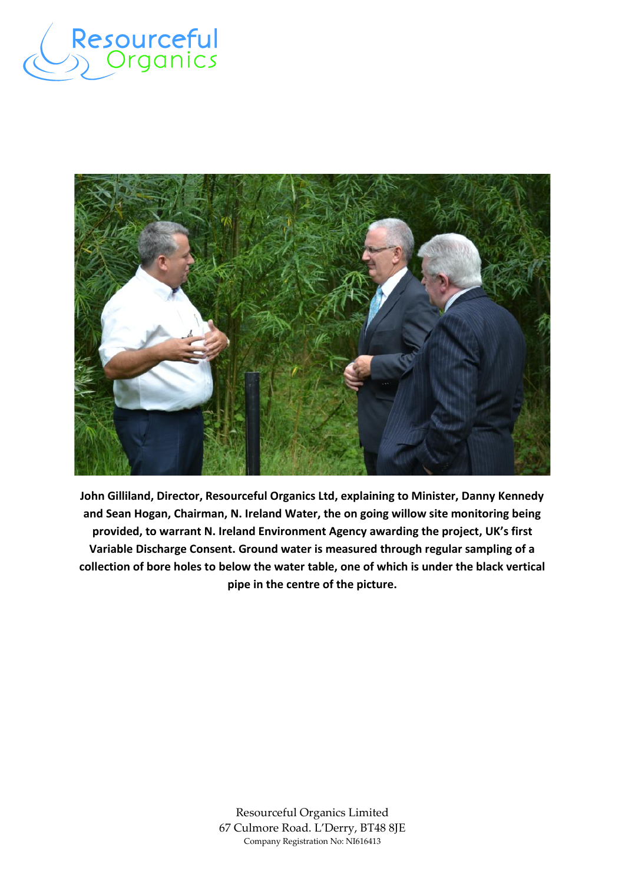



**John Gilliland, Director, Resourceful Organics Ltd, explaining to Minister, Danny Kennedy and Sean Hogan, Chairman, N. Ireland Water, the on going willow site monitoring being provided, to warrant N. Ireland Environment Agency awarding the project, UK's first Variable Discharge Consent. Ground water is measured through regular sampling of a collection of bore holes to below the water table, one of which is under the black vertical pipe in the centre of the picture.**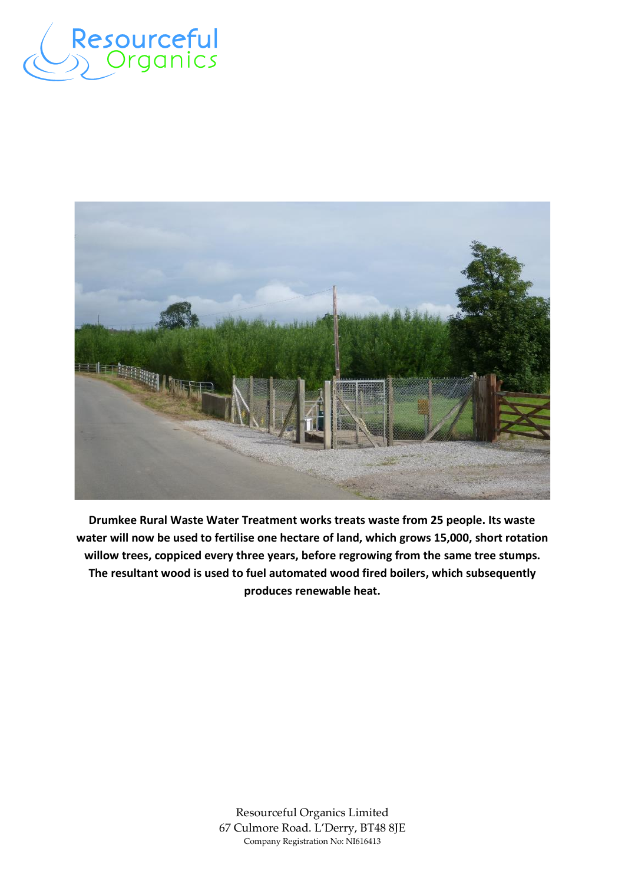



**Drumkee Rural Waste Water Treatment works treats waste from 25 people. Its waste water will now be used to fertilise one hectare of land, which grows 15,000, short rotation willow trees, coppiced every three years, before regrowing from the same tree stumps. The resultant wood is used to fuel automated wood fired boilers, which subsequently produces renewable heat.**